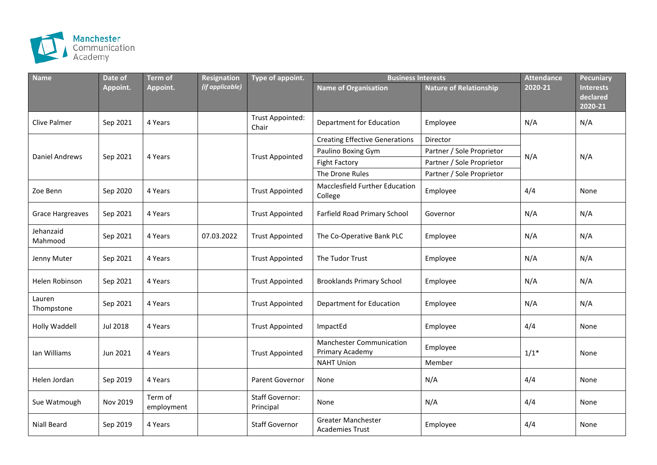

| <b>Name</b>             | Date of         | <b>Term of</b>        | Resignation     | Type of appoint.                    | <b>Business Interests</b>                          |                               | <b>Attendance</b> | <b>Pecuniary</b>                        |
|-------------------------|-----------------|-----------------------|-----------------|-------------------------------------|----------------------------------------------------|-------------------------------|-------------------|-----------------------------------------|
|                         | Appoint.        | Appoint.              | (if applicable) |                                     | Name of Organisation                               | <b>Nature of Relationship</b> | 2020-21           | <b>Interests</b><br>declared<br>2020-21 |
| <b>Clive Palmer</b>     | Sep 2021        | 4 Years               |                 | <b>Trust Appointed:</b><br>Chair    | Department for Education                           | Employee                      | N/A               | N/A                                     |
| <b>Daniel Andrews</b>   | Sep 2021        | 4 Years               |                 |                                     | <b>Creating Effective Generations</b>              | Director                      | N/A               | N/A                                     |
|                         |                 |                       |                 | <b>Trust Appointed</b>              | Paulino Boxing Gym                                 | Partner / Sole Proprietor     |                   |                                         |
|                         |                 |                       |                 |                                     | <b>Fight Factory</b>                               | Partner / Sole Proprietor     |                   |                                         |
|                         |                 |                       |                 |                                     | The Drone Rules                                    | Partner / Sole Proprietor     |                   |                                         |
| Zoe Benn                | Sep 2020        | 4 Years               |                 | <b>Trust Appointed</b>              | <b>Macclesfield Further Education</b><br>College   | Employee                      | 4/4               | None                                    |
| <b>Grace Hargreaves</b> | Sep 2021        | 4 Years               |                 | <b>Trust Appointed</b>              | Farfield Road Primary School                       | Governor                      | N/A               | N/A                                     |
| Jehanzaid<br>Mahmood    | Sep 2021        | 4 Years               | 07.03.2022      | <b>Trust Appointed</b>              | The Co-Operative Bank PLC                          | Employee                      | N/A               | N/A                                     |
| Jenny Muter             | Sep 2021        | 4 Years               |                 | <b>Trust Appointed</b>              | The Tudor Trust                                    | Employee                      | N/A               | N/A                                     |
| Helen Robinson          | Sep 2021        | 4 Years               |                 | <b>Trust Appointed</b>              | <b>Brooklands Primary School</b>                   | Employee                      | N/A               | N/A                                     |
| Lauren<br>Thompstone    | Sep 2021        | 4 Years               |                 | <b>Trust Appointed</b>              | Department for Education                           | Employee                      | N/A               | N/A                                     |
| Holly Waddell           | <b>Jul 2018</b> | 4 Years               |                 | <b>Trust Appointed</b>              | ImpactEd                                           | Employee                      | 4/4               | None                                    |
| Ian Williams            | Jun 2021        | 4 Years               |                 | <b>Trust Appointed</b>              | <b>Manchester Communication</b><br>Primary Academy | Employee                      | $1/1*$            | None                                    |
|                         |                 |                       |                 |                                     | <b>NAHT Union</b>                                  | Member                        |                   |                                         |
| Helen Jordan            | Sep 2019        | 4 Years               |                 | Parent Governor                     | None                                               | N/A                           | 4/4               | None                                    |
| Sue Watmough            | Nov 2019        | Term of<br>employment |                 | <b>Staff Governor:</b><br>Principal | None                                               | N/A                           | 4/4               | None                                    |
| Niall Beard             | Sep 2019        | 4 Years               |                 | <b>Staff Governor</b>               | Greater Manchester<br><b>Academies Trust</b>       | Employee                      | 4/4               | None                                    |